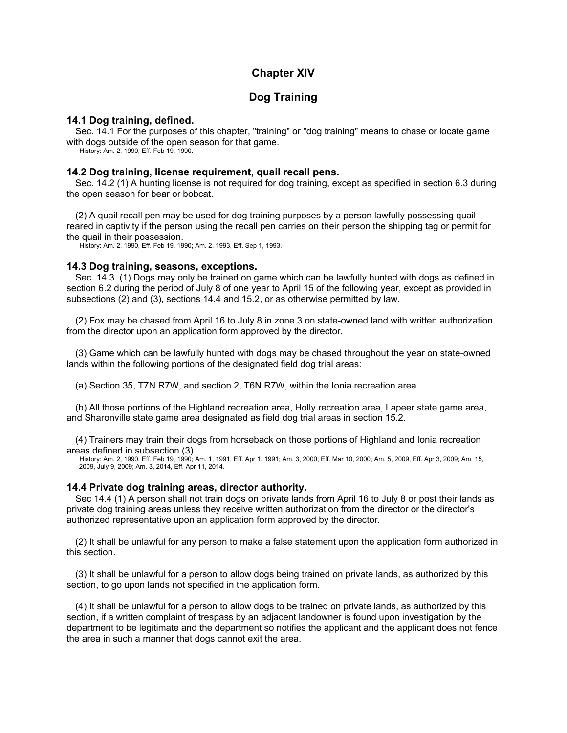# **Chapter XIV**

## **Dog Training**

## **14.1 Dog training, defined.**

Sec. 14.1 For the purposes of this chapter, "training" or "dog training" means to chase or locate game with dogs outside of the open season for that game.

History: Am. 2, 1990, Eff. Feb 19, 1990.

#### **14.2 Dog training, license requirement, quail recall pens.**

Sec. 14.2 (1) A hunting license is not required for dog training, except as specified in section 6.3 during the open season for bear or bobcat.

(2) A quail recall pen may be used for dog training purposes by a person lawfully possessing quail reared in captivity if the person using the recall pen carries on their person the shipping tag or permit for the quail in their possession.

History: Am. 2, 1990, Eff. Feb 19, 1990; Am. 2, 1993, Eff. Sep 1, 1993.

### **14.3 Dog training, seasons, exceptions.**

Sec. 14.3. (1) Dogs may only be trained on game which can be lawfully hunted with dogs as defined in section 6.2 during the period of July 8 of one year to April 15 of the following year, except as provided in subsections (2) and (3), sections 14.4 and 15.2, or as otherwise permitted by law.

(2) Fox may be chased from April 16 to July 8 in zone 3 on state-owned land with written authorization from the director upon an application form approved by the director.

(3) Game which can be lawfully hunted with dogs may be chased throughout the year on state-owned lands within the following portions of the designated field dog trial areas:

(a) Section 35, T7N R7W, and section 2, T6N R7W, within the Ionia recreation area.

(b) All those portions of the Highland recreation area, Holly recreation area, Lapeer state game area, and Sharonville state game area designated as field dog trial areas in section 15.2.

(4) Trainers may train their dogs from horseback on those portions of Highland and Ionia recreation areas defined in subsection (3).

History: Am. 2, 1990, Eff. Feb 19, 1990; Am. 1, 1991, Eff. Apr 1, 1991; Am. 3, 2000, Eff. Mar 10, 2000; Am. 5, 2009, Eff. Apr 3, 2009; Am. 15, 2009, July 9, 2009; Am. 3, 2014, Eff. Apr 11, 2014.

#### **14.4 Private dog training areas, director authority.**

Sec 14.4 (1) A person shall not train dogs on private lands from April 16 to July 8 or post their lands as private dog training areas unless they receive written authorization from the director or the director's authorized representative upon an application form approved by the director.

(2) It shall be unlawful for any person to make a false statement upon the application form authorized in this section.

(3) It shall be unlawful for a person to allow dogs being trained on private lands, as authorized by this section, to go upon lands not specified in the application form.

(4) It shall be unlawful for a person to allow dogs to be trained on private lands, as authorized by this section, if a written complaint of trespass by an adjacent landowner is found upon investigation by the department to be legitimate and the department so notifies the applicant and the applicant does not fence the area in such a manner that dogs cannot exit the area.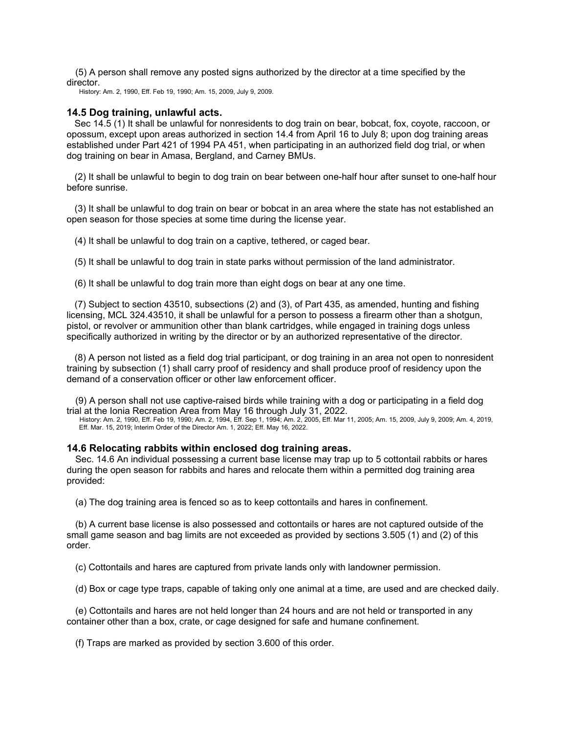(5) A person shall remove any posted signs authorized by the director at a time specified by the director.

History: Am. 2, 1990, Eff. Feb 19, 1990; Am. 15, 2009, July 9, 2009.

### **14.5 Dog training, unlawful acts.**

Sec 14.5 (1) It shall be unlawful for nonresidents to dog train on bear, bobcat, fox, coyote, raccoon, or opossum, except upon areas authorized in section 14.4 from April 16 to July 8; upon dog training areas established under Part 421 of 1994 PA 451, when participating in an authorized field dog trial, or when dog training on bear in Amasa, Bergland, and Carney BMUs.

(2) It shall be unlawful to begin to dog train on bear between one-half hour after sunset to one-half hour before sunrise.

(3) It shall be unlawful to dog train on bear or bobcat in an area where the state has not established an open season for those species at some time during the license year.

(4) It shall be unlawful to dog train on a captive, tethered, or caged bear.

(5) It shall be unlawful to dog train in state parks without permission of the land administrator.

(6) It shall be unlawful to dog train more than eight dogs on bear at any one time.

(7) Subject to section 43510, subsections (2) and (3), of Part 435, as amended, hunting and fishing licensing, MCL 324.43510, it shall be unlawful for a person to possess a firearm other than a shotgun, pistol, or revolver or ammunition other than blank cartridges, while engaged in training dogs unless specifically authorized in writing by the director or by an authorized representative of the director.

(8) A person not listed as a field dog trial participant, or dog training in an area not open to nonresident training by subsection (1) shall carry proof of residency and shall produce proof of residency upon the demand of a conservation officer or other law enforcement officer.

(9) A person shall not use captive-raised birds while training with a dog or participating in a field dog trial at the Ionia Recreation Area from May 16 through July 31, 2022. History: Am. 2, 1990, Eff. Feb 19, 1990; Am. 2, 1994, Eff. Sep 1, 1994; Am. 2, 2005, Eff. Mar 11, 2005; Am. 15, 2009, July 9, 2009; Am. 4, 2019,

Eff. Mar. 15, 2019; Interim Order of the Director Am. 1, 2022; Eff. May 16, 2022.

### **14.6 Relocating rabbits within enclosed dog training areas.**

Sec. 14.6 An individual possessing a current base license may trap up to 5 cottontail rabbits or hares during the open season for rabbits and hares and relocate them within a permitted dog training area provided:

(a) The dog training area is fenced so as to keep cottontails and hares in confinement.

(b) A current base license is also possessed and cottontails or hares are not captured outside of the small game season and bag limits are not exceeded as provided by sections 3.505 (1) and (2) of this order.

(c) Cottontails and hares are captured from private lands only with landowner permission.

(d) Box or cage type traps, capable of taking only one animal at a time, are used and are checked daily.

(e) Cottontails and hares are not held longer than 24 hours and are not held or transported in any container other than a box, crate, or cage designed for safe and humane confinement.

(f) Traps are marked as provided by section 3.600 of this order.